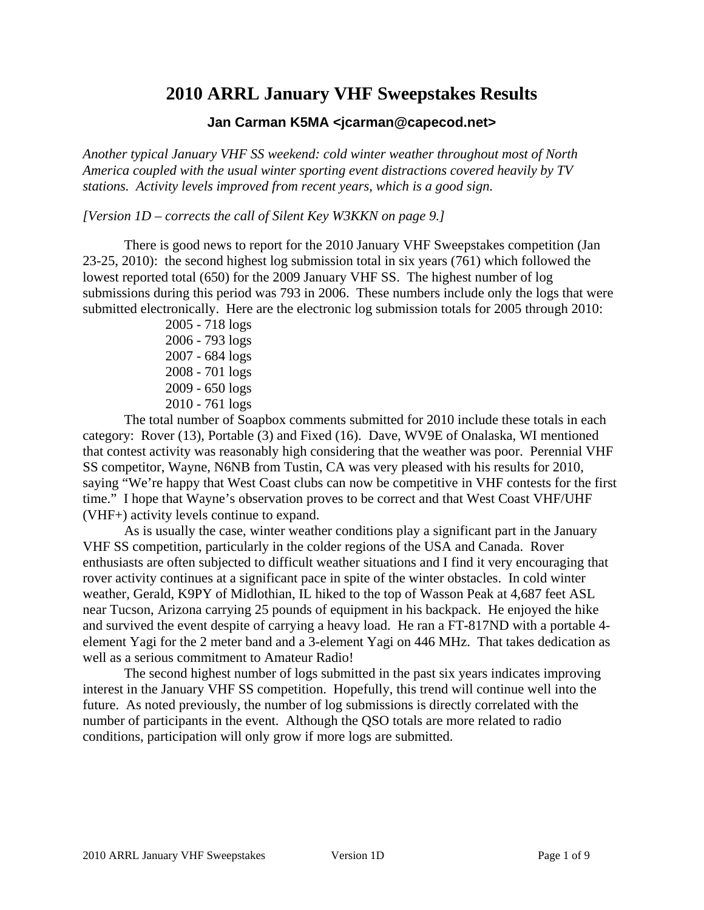# **2010 ARRL January VHF Sweepstakes Results**

# **Jan Carman K5MA <jcarman@capecod.net>**

*Another typical January VHF SS weekend: cold winter weather throughout most of North America coupled with the usual winter sporting event distractions covered heavily by TV stations. Activity levels improved from recent years, which is a good sign.* 

*[Version 1D – corrects the call of Silent Key W3KKN on page 9.]* 

There is good news to report for the 2010 January VHF Sweepstakes competition (Jan 23-25, 2010): the second highest log submission total in six years (761) which followed the lowest reported total (650) for the 2009 January VHF SS. The highest number of log submissions during this period was 793 in 2006. These numbers include only the logs that were submitted electronically. Here are the electronic log submission totals for 2005 through 2010:

> 2005 - 718 logs 2006 - 793 logs 2007 - 684 logs 2008 - 701 logs 2009 - 650 logs 2010 - 761 logs

The total number of Soapbox comments submitted for 2010 include these totals in each category: Rover (13), Portable (3) and Fixed (16). Dave, WV9E of Onalaska, WI mentioned that contest activity was reasonably high considering that the weather was poor. Perennial VHF SS competitor, Wayne, N6NB from Tustin, CA was very pleased with his results for 2010, saying "We're happy that West Coast clubs can now be competitive in VHF contests for the first time." I hope that Wayne's observation proves to be correct and that West Coast VHF/UHF (VHF+) activity levels continue to expand.

As is usually the case, winter weather conditions play a significant part in the January VHF SS competition, particularly in the colder regions of the USA and Canada. Rover enthusiasts are often subjected to difficult weather situations and I find it very encouraging that rover activity continues at a significant pace in spite of the winter obstacles. In cold winter weather, Gerald, K9PY of Midlothian, IL hiked to the top of Wasson Peak at 4,687 feet ASL near Tucson, Arizona carrying 25 pounds of equipment in his backpack. He enjoyed the hike and survived the event despite of carrying a heavy load. He ran a FT-817ND with a portable 4 element Yagi for the 2 meter band and a 3-element Yagi on 446 MHz. That takes dedication as well as a serious commitment to Amateur Radio!

The second highest number of logs submitted in the past six years indicates improving interest in the January VHF SS competition. Hopefully, this trend will continue well into the future. As noted previously, the number of log submissions is directly correlated with the number of participants in the event. Although the QSO totals are more related to radio conditions, participation will only grow if more logs are submitted.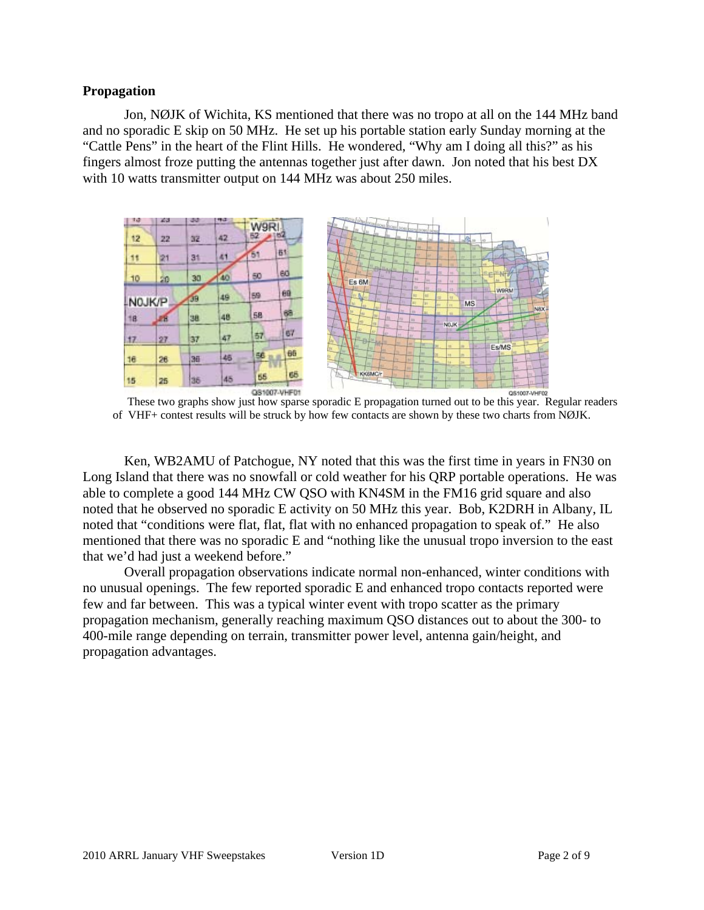#### **Propagation**

Jon, NØJK of Wichita, KS mentioned that there was no tropo at all on the 144 MHz band and no sporadic E skip on 50 MHz. He set up his portable station early Sunday morning at the "Cattle Pens" in the heart of the Flint Hills. He wondered, "Why am I doing all this?" as his fingers almost froze putting the antennas together just after dawn. Jon noted that his best DX with 10 watts transmitter output on 144 MHz was about 250 miles.



of VHF+ contest results will be struck by how few contacts are shown by these two charts from NØJK.

Ken, WB2AMU of Patchogue, NY noted that this was the first time in years in FN30 on Long Island that there was no snowfall or cold weather for his QRP portable operations. He was able to complete a good 144 MHz CW QSO with KN4SM in the FM16 grid square and also noted that he observed no sporadic E activity on 50 MHz this year. Bob, K2DRH in Albany, IL noted that "conditions were flat, flat, flat with no enhanced propagation to speak of." He also mentioned that there was no sporadic E and "nothing like the unusual tropo inversion to the east that we'd had just a weekend before."

Overall propagation observations indicate normal non-enhanced, winter conditions with no unusual openings. The few reported sporadic E and enhanced tropo contacts reported were few and far between. This was a typical winter event with tropo scatter as the primary propagation mechanism, generally reaching maximum QSO distances out to about the 300- to 400-mile range depending on terrain, transmitter power level, antenna gain/height, and propagation advantages.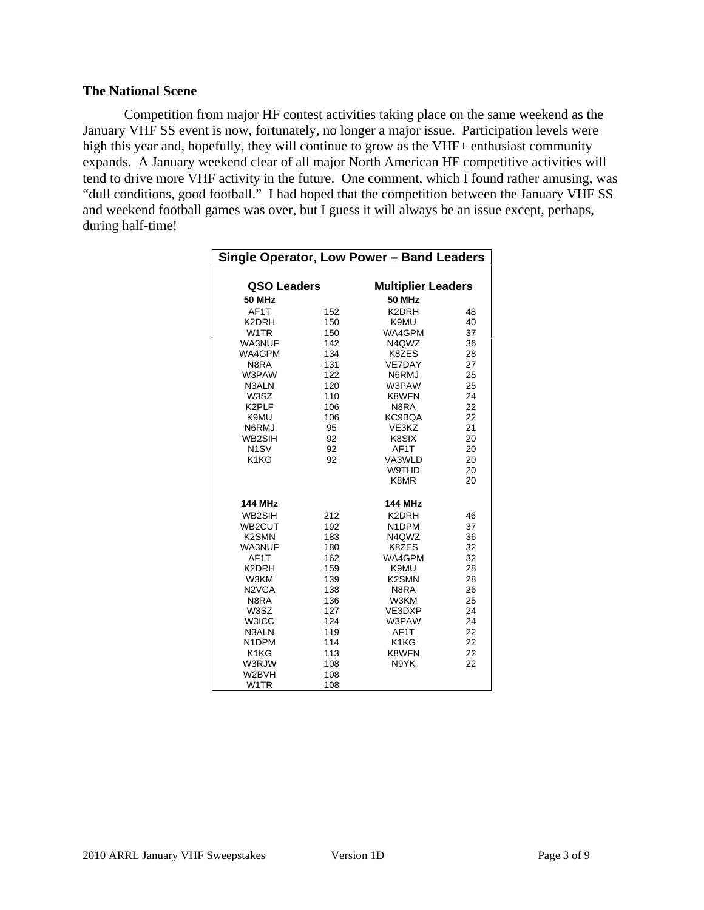#### **The National Scene**

Competition from major HF contest activities taking place on the same weekend as the January VHF SS event is now, fortunately, no longer a major issue. Participation levels were high this year and, hopefully, they will continue to grow as the VHF+ enthusiast community expands. A January weekend clear of all major North American HF competitive activities will tend to drive more VHF activity in the future. One comment, which I found rather amusing, was "dull conditions, good football." I had hoped that the competition between the January VHF SS and weekend football games was over, but I guess it will always be an issue except, perhaps, during half-time!

| Single Operator, Low Power - Band Leaders |     |                                |    |  |  |  |  |
|-------------------------------------------|-----|--------------------------------|----|--|--|--|--|
|                                           |     |                                |    |  |  |  |  |
| QSO Leaders                               |     | <b>Multiplier Leaders</b>      |    |  |  |  |  |
| <b>50 MHz</b>                             |     | <b>50 MHz</b>                  |    |  |  |  |  |
| AF1T                                      | 152 | K2DRH                          | 48 |  |  |  |  |
| K2DRH                                     | 150 | K9MU                           | 40 |  |  |  |  |
| W <sub>1</sub> TR                         | 150 | WA4GPM                         | 37 |  |  |  |  |
| WA3NUF                                    | 142 | N4QWZ                          | 36 |  |  |  |  |
| WA4GPM                                    | 134 | K8ZES                          | 28 |  |  |  |  |
| N8RA                                      | 131 | VE7DAY                         | 27 |  |  |  |  |
| W3PAW                                     | 122 | N6RMJ                          | 25 |  |  |  |  |
| N3ALN                                     | 120 | W3PAW                          | 25 |  |  |  |  |
| W3SZ                                      | 110 | K8WFN                          | 24 |  |  |  |  |
| K2PLF                                     | 106 | N8RA                           | 22 |  |  |  |  |
| K9MU                                      | 106 | KC9BQA                         | 22 |  |  |  |  |
| N6RMJ                                     | 95  | VE3KZ                          | 21 |  |  |  |  |
| WB2SIH                                    | 92  | K8SIX                          | 20 |  |  |  |  |
| N <sub>1</sub> SV                         | 92  | AF1T                           | 20 |  |  |  |  |
| K1KG                                      | 92  | VA3WLD                         | 20 |  |  |  |  |
|                                           |     | W9THD                          | 20 |  |  |  |  |
|                                           |     | K8MR                           | 20 |  |  |  |  |
| <b>144 MHz</b>                            |     | <b>144 MHz</b>                 |    |  |  |  |  |
| WB2SIH                                    | 212 | K2DRH                          | 46 |  |  |  |  |
| WB2CUT                                    | 192 | N1DPM                          | 37 |  |  |  |  |
| K <sub>2</sub> SM <sub>N</sub>            | 183 | N4QWZ                          | 36 |  |  |  |  |
| WA3NUF                                    | 180 | K8ZES                          | 32 |  |  |  |  |
| AF1T                                      | 162 | WA4GPM                         | 32 |  |  |  |  |
| K2DRH                                     | 159 | K9MU                           | 28 |  |  |  |  |
| W3KM                                      | 139 | K <sub>2</sub> SM <sub>N</sub> | 28 |  |  |  |  |
| N <sub>2</sub> V <sub>GA</sub>            | 138 | N8RA                           | 26 |  |  |  |  |
| N8RA                                      | 136 | W3KM                           | 25 |  |  |  |  |
| W3SZ                                      | 127 | VE3DXP                         | 24 |  |  |  |  |
| <b>W3ICC</b>                              | 124 | W3PAW                          | 24 |  |  |  |  |
| N3ALN                                     | 119 | AF1T                           | 22 |  |  |  |  |
| N1DPM                                     | 114 | K1KG                           | 22 |  |  |  |  |
| K1KG                                      | 113 | K8WFN                          | 22 |  |  |  |  |
| W3RJW                                     | 108 | N9YK                           | 22 |  |  |  |  |
| W2BVH                                     | 108 |                                |    |  |  |  |  |
| W <sub>1</sub> TR                         | 108 |                                |    |  |  |  |  |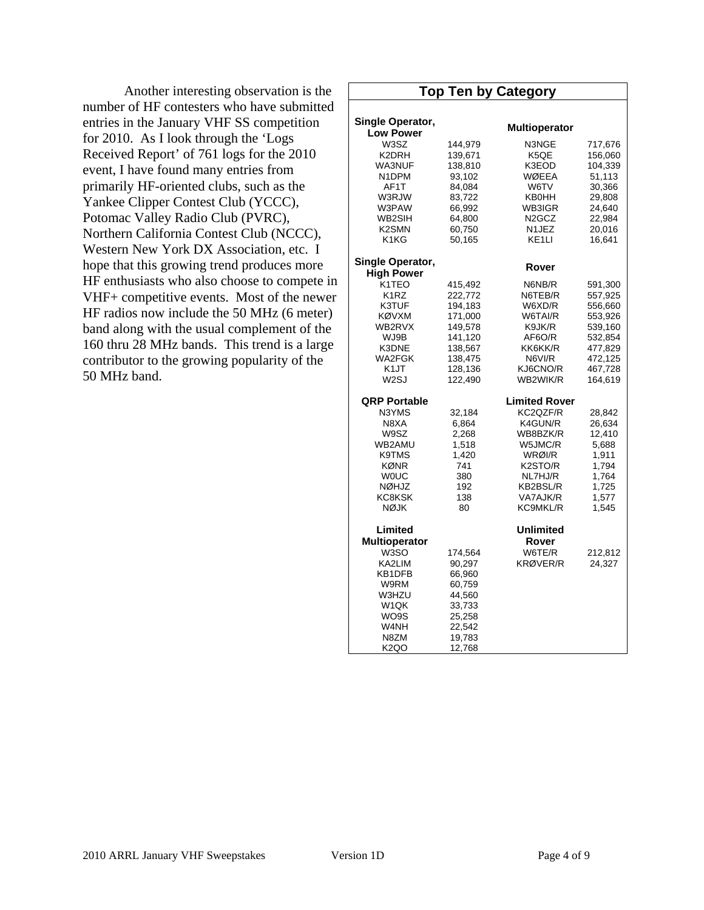Another interesting observation is the number of HF contesters who have submitted entries in the January VHF SS competition for 2010. As I look through the 'Logs Received Report' of 761 logs for the 2010 event, I have found many entries from primarily HF-oriented clubs, such as the Yankee Clipper Contest Club (YCCC), Potomac Valley Radio Club (PVRC), Northern California Contest Club (NCCC), Western New York DX Association, etc. I hope that this growing trend produces more HF enthusiasts who also choose to compete in VHF+ competitive events. Most of the newer HF radios now include the 50 MHz (6 meter) band along with the usual complement of the 160 thru 28 MHz bands. This trend is a large contributor to the growing popularity of the 50 MHz band.

|                    |         | <b>Top Ten by Category</b> |         |
|--------------------|---------|----------------------------|---------|
|                    |         |                            |         |
| Single Operator,   |         |                            |         |
| <b>Low Power</b>   |         | <b>Multioperator</b>       |         |
| W3SZ               | 144,979 | N3NGE                      | 717,676 |
| K2DRH              | 139,671 | K5QE                       | 156,060 |
| WA3NUF             | 138,810 | K3EOD                      | 104,339 |
| N1DPM              | 93,102  | WØEEA                      | 51,113  |
| AF1T               | 84,084  | W6TV                       | 30,366  |
| W3RJW              | 83,722  | KB0HH                      | 29,808  |
| W3PAW              | 66,992  | WB3IGR                     | 24,640  |
| WB2SIH             |         |                            |         |
|                    | 64,800  | N <sub>2</sub> GCZ         | 22,984  |
| K2SMN              | 60,750  | N1JEZ                      | 20,016  |
| K1KG               | 50,165  | KE <sub>1</sub> LI         | 16,641  |
| Single Operator,   |         |                            |         |
| <b>High Power</b>  |         | Rover                      |         |
| K <sub>1</sub> TEO | 415,492 | N6NB/R                     | 591,300 |
| K <sub>1</sub> RZ  | 222,772 | N6TEB/R                    | 557,925 |
| K3TUF              | 194,183 | W6XD/R                     | 556,660 |
| KØVXM              | 171,000 | W6TAI/R                    | 553,926 |
| WB2RVX             | 149,578 | K9JK/R                     | 539,160 |
| WJ9B               | 141,120 | AF6O/R                     | 532,854 |
| K3DNE              | 138,567 | KK6KK/R                    | 477,829 |
| WA2FGK             | 138,475 | N6VI/R                     | 472,125 |
| K1JT               | 128,136 | KJ6CNO/R                   | 467,728 |
| W <sub>2</sub> SJ  | 122,490 | WB2WIK/R                   | 164,619 |
| QRP Portable       |         | <b>Limited Rover</b>       |         |
| N3YMS              | 32,184  | KC2QZF/R                   | 28,842  |
| N8XA               | 6,864   | K4GUN/R                    | 26,634  |
| W9SZ               | 2,268   | WB8BZK/R                   |         |
| WB2AMU             |         |                            | 12,410  |
|                    | 1,518   | W5JMC/R                    | 5,688   |
| K9TMS              | 1,420   | WRØI/R                     | 1,911   |
| KØNR               | 741     | K2STO/R                    | 1,794   |
| WOUC               | 380     | NL7HJ/R                    | 1,764   |
| <b>NØHJZ</b>       | 192     | KB2BSL/R                   | 1,725   |
| KC8KSK             | 138     | VA7AJK/R                   | 1,577   |
| <b>NØJK</b>        | 80      | <b>KC9MKL/R</b>            | 1,545   |
| Limited            |         | Unlimited                  |         |
| Multioperator      |         | Rover                      |         |
| W3SO               | 174,564 | W6TE/R                     | 212,812 |
| KA2LIM             | 90,297  | <b>KRØVER/R</b>            | 24,327  |
| KB1DFB             | 66,960  |                            |         |
| W9RM               | 60,759  |                            |         |
| W3HZU              | 44,560  |                            |         |
| W1QK               | 33,733  |                            |         |
| WO9S               | 25,258  |                            |         |
| W4NH               | 22,542  |                            |         |
| N8ZM               | 19,783  |                            |         |
| K <sub>2</sub> QO  | 12,768  |                            |         |
|                    |         |                            |         |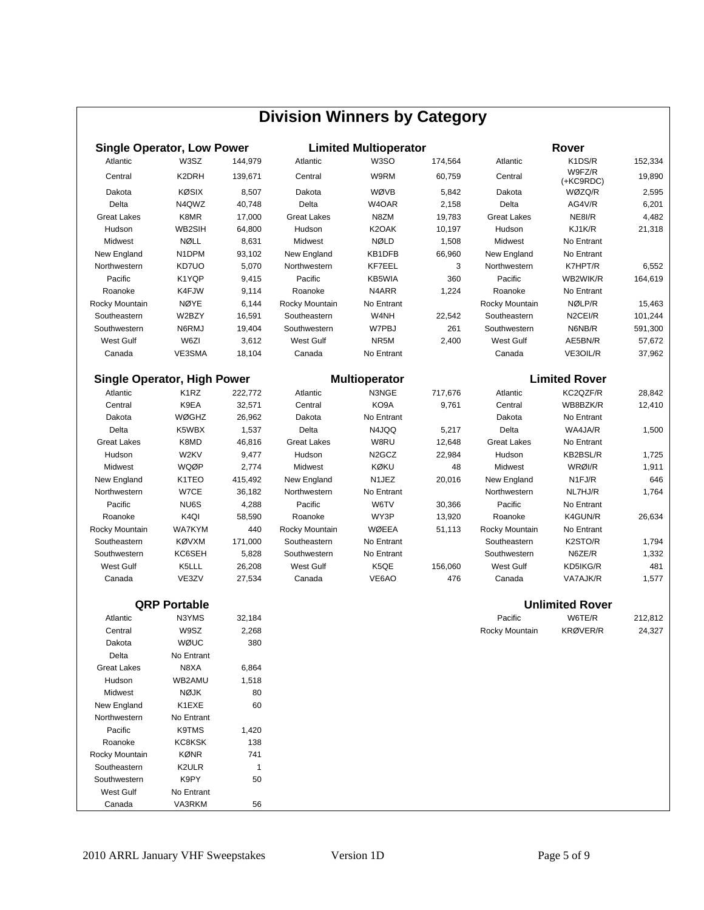| <b>Division Winners by Category</b>                                                |                     |         |                    |                    |         |                    |                        |         |  |  |
|------------------------------------------------------------------------------------|---------------------|---------|--------------------|--------------------|---------|--------------------|------------------------|---------|--|--|
| <b>Single Operator, Low Power</b><br><b>Limited Multioperator</b><br>Rover         |                     |         |                    |                    |         |                    |                        |         |  |  |
| Atlantic                                                                           | W3SZ                | 144,979 | Atlantic           | W3SO               | 174,564 | Atlantic           | K1DS/R                 | 152,334 |  |  |
| Central                                                                            | K2DRH               | 139,671 | Central            | W9RM               | 60,759  | Central            | W9FZ/R                 | 19,890  |  |  |
| Dakota                                                                             | <b>KØSIX</b>        | 8,507   | Dakota             | WØVB               | 5,842   | Dakota             | (+KC9RDC)<br>WØZQ/R    | 2,595   |  |  |
| Delta                                                                              | N4QWZ               | 40,748  | Delta              | W4OAR              | 2,158   | Delta              | AG4V/R                 | 6,201   |  |  |
| <b>Great Lakes</b>                                                                 | K8MR                | 17,000  | <b>Great Lakes</b> | N8ZM               | 19,783  | <b>Great Lakes</b> | NE8I/R                 | 4,482   |  |  |
| Hudson                                                                             | WB2SIH              | 64,800  | Hudson             | K2OAK              | 10,197  | Hudson             | KJ1K/R                 | 21,318  |  |  |
| Midwest                                                                            | <b>NØLL</b>         | 8,631   | Midwest            | <b>NØLD</b>        | 1,508   | Midwest            | No Entrant             |         |  |  |
| New England                                                                        | N1DPM               | 93,102  | New England        | KB1DFB             | 66,960  | New England        | No Entrant             |         |  |  |
| Northwestern                                                                       | KD7UO               | 5,070   | Northwestern       | KF7EEL             | 3       | Northwestern       | K7HPT/R                | 6,552   |  |  |
| Pacific                                                                            | K1YQP               | 9,415   | Pacific            | KB5WIA             | 360     | Pacific            | WB2WIK/R               | 164,619 |  |  |
| Roanoke                                                                            | K4FJW               | 9,114   | Roanoke            | N4ARR              | 1,224   | Roanoke            | No Entrant             |         |  |  |
| Rocky Mountain                                                                     | NØYE                | 6,144   | Rocky Mountain     | No Entrant         |         | Rocky Mountain     | NØLP/R                 | 15,463  |  |  |
| Southeastern                                                                       | W2BZY               | 16,591  | Southeastern       | W4NH               | 22,542  | Southeastern       | N <sub>2</sub> CEI/R   | 101,244 |  |  |
| Southwestern                                                                       | N6RMJ               | 19,404  | Southwestern       | W7PBJ              | 261     | Southwestern       | N6NB/R                 | 591,300 |  |  |
| <b>West Gulf</b>                                                                   | W6ZI                | 3,612   | <b>West Gulf</b>   | NR5M               | 2,400   | West Gulf          | AE5BN/R                | 57,672  |  |  |
| Canada                                                                             | VE3SMA              | 18,104  | Canada             | No Entrant         |         | Canada             | VE3OIL/R               | 37,962  |  |  |
|                                                                                    |                     |         |                    |                    |         |                    |                        |         |  |  |
| <b>Limited Rover</b><br><b>Single Operator, High Power</b><br><b>Multioperator</b> |                     |         |                    |                    |         |                    |                        |         |  |  |
| Atlantic                                                                           | K <sub>1</sub> RZ   | 222,772 | Atlantic           | N3NGE              | 717,676 | Atlantic           | KC2QZF/R               | 28,842  |  |  |
| Central                                                                            | K9EA                | 32,571  | Central            | KO9A               | 9,761   | Central            | WB8BZK/R               | 12,410  |  |  |
| Dakota                                                                             | <b>WØGHZ</b>        | 26,962  | Dakota             | No Entrant         |         | Dakota             | No Entrant             |         |  |  |
| Delta                                                                              | K5WBX               | 1,537   | Delta              | N4JQQ              | 5,217   | Delta              | WA4JA/R                | 1,500   |  |  |
| <b>Great Lakes</b>                                                                 | K8MD                | 46,816  | <b>Great Lakes</b> | W8RU               | 12,648  | <b>Great Lakes</b> | No Entrant             |         |  |  |
| Hudson                                                                             | W2KV                | 9,477   | Hudson             | N <sub>2</sub> GCZ | 22,984  | Hudson             | KB2BSL/R               | 1,725   |  |  |
| Midwest                                                                            | WQØP                | 2,774   | Midwest            | KØKU               | 48      | Midwest            | WRØI/R                 | 1,911   |  |  |
| New England                                                                        | K1TEO               | 415,492 | New England        | N1JEZ              | 20,016  | New England        | N1FJ/R                 | 646     |  |  |
| Northwestern                                                                       | W7CE                | 36,182  | Northwestern       | No Entrant         |         | Northwestern       | NL7HJ/R                | 1,764   |  |  |
| Pacific                                                                            | NU6S                | 4,288   | Pacific            | W6TV               | 30,366  | Pacific            | No Entrant             |         |  |  |
| Roanoke                                                                            | K <sub>4Q</sub>     | 58,590  | Roanoke            | WY3P               | 13,920  | Roanoke            | K4GUN/R                | 26,634  |  |  |
| Rocky Mountain                                                                     | <b>WA7KYM</b>       | 440     | Rocky Mountain     | WØEEA              | 51,113  | Rocky Mountain     | No Entrant             |         |  |  |
| Southeastern                                                                       | <b>KØVXM</b>        | 171,000 | Southeastern       | No Entrant         |         | Southeastern       | K2STO/R                | 1,794   |  |  |
| Southwestern                                                                       | KC6SEH              | 5,828   | Southwestern       | No Entrant         |         | Southwestern       | N6ZE/R                 | 1,332   |  |  |
| West Gulf                                                                          | K5LLL               | 26,208  | <b>West Gulf</b>   | K5QE               | 156,060 | West Gulf          | KD5IKG/R               | 481     |  |  |
| Canada                                                                             | VE3ZV               | 27,534  | Canada             | VE6AO              | 476     | Canada             | VA7AJK/R               | 1,577   |  |  |
|                                                                                    | <b>QRP Portable</b> |         |                    |                    |         |                    | <b>Unlimited Rover</b> |         |  |  |
| Atlantic                                                                           | N3YMS               | 32,184  |                    |                    |         | Pacific            | W6TE/R                 | 212,812 |  |  |
| Central                                                                            | W9SZ                | 2,268   |                    |                    |         | Rocky Mountain     | KRØVER/R               | 24,327  |  |  |
| Dakota                                                                             | WØUC                | 380     |                    |                    |         |                    |                        |         |  |  |
| Delta                                                                              | No Entrant          |         |                    |                    |         |                    |                        |         |  |  |
| <b>Great Lakes</b>                                                                 | N8XA                | 6,864   |                    |                    |         |                    |                        |         |  |  |
| Hudson                                                                             | WB2AMU              | 1,518   |                    |                    |         |                    |                        |         |  |  |
| Midwest                                                                            | <b>NØJK</b>         | 80      |                    |                    |         |                    |                        |         |  |  |
| New England                                                                        | K1EXE               | 60      |                    |                    |         |                    |                        |         |  |  |
| Northwestern                                                                       | No Entrant          |         |                    |                    |         |                    |                        |         |  |  |
| Pacific                                                                            | K9TMS               | 1,420   |                    |                    |         |                    |                        |         |  |  |
| Roanoke                                                                            | KC8KSK              | 138     |                    |                    |         |                    |                        |         |  |  |
| Rocky Mountain                                                                     | KØNR                | 741     |                    |                    |         |                    |                        |         |  |  |
| Southeastern                                                                       | K2ULR               | 1       |                    |                    |         |                    |                        |         |  |  |
| Southwestern                                                                       | K9PY                | 50      |                    |                    |         |                    |                        |         |  |  |
| West Gulf                                                                          | No Entrant          |         |                    |                    |         |                    |                        |         |  |  |
| Canada                                                                             | VA3RKM              | 56      |                    |                    |         |                    |                        |         |  |  |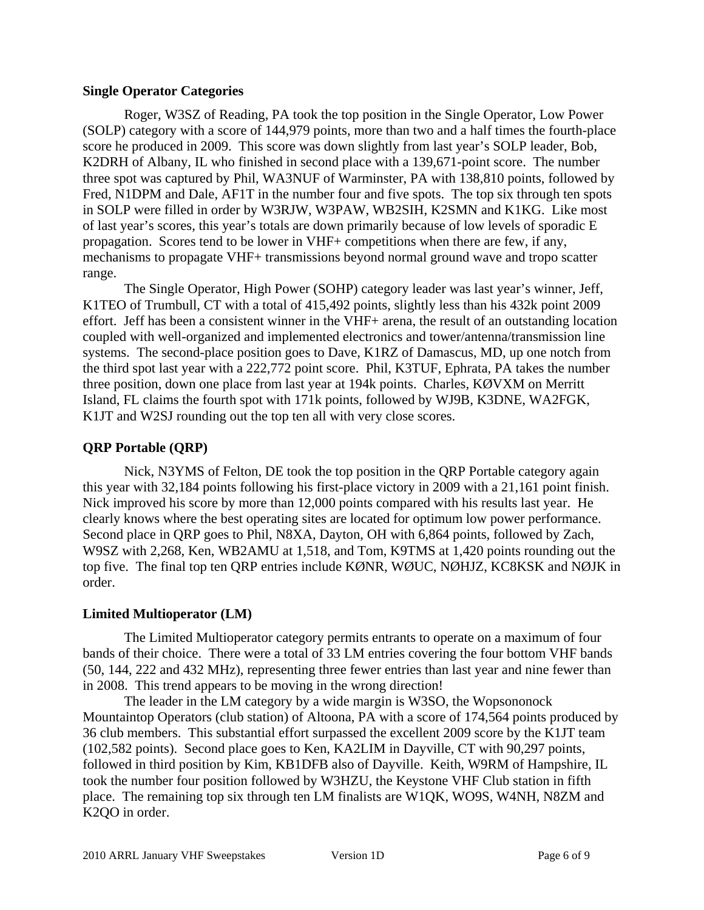#### **Single Operator Categories**

Roger, W3SZ of Reading, PA took the top position in the Single Operator, Low Power (SOLP) category with a score of 144,979 points, more than two and a half times the fourth-place score he produced in 2009. This score was down slightly from last year's SOLP leader, Bob, K2DRH of Albany, IL who finished in second place with a 139,671-point score. The number three spot was captured by Phil, WA3NUF of Warminster, PA with 138,810 points, followed by Fred, N1DPM and Dale, AF1T in the number four and five spots. The top six through ten spots in SOLP were filled in order by W3RJW, W3PAW, WB2SIH, K2SMN and K1KG. Like most of last year's scores, this year's totals are down primarily because of low levels of sporadic E propagation. Scores tend to be lower in VHF+ competitions when there are few, if any, mechanisms to propagate VHF+ transmissions beyond normal ground wave and tropo scatter range.

The Single Operator, High Power (SOHP) category leader was last year's winner, Jeff, K1TEO of Trumbull, CT with a total of 415,492 points, slightly less than his 432k point 2009 effort. Jeff has been a consistent winner in the VHF+ arena, the result of an outstanding location coupled with well-organized and implemented electronics and tower/antenna/transmission line systems. The second-place position goes to Dave, K1RZ of Damascus, MD, up one notch from the third spot last year with a 222,772 point score. Phil, K3TUF, Ephrata, PA takes the number three position, down one place from last year at 194k points. Charles, KØVXM on Merritt Island, FL claims the fourth spot with 171k points, followed by WJ9B, K3DNE, WA2FGK, K1JT and W2SJ rounding out the top ten all with very close scores.

### **QRP Portable (QRP)**

Nick, N3YMS of Felton, DE took the top position in the QRP Portable category again this year with 32,184 points following his first-place victory in 2009 with a 21,161 point finish. Nick improved his score by more than 12,000 points compared with his results last year. He clearly knows where the best operating sites are located for optimum low power performance. Second place in QRP goes to Phil, N8XA, Dayton, OH with 6,864 points, followed by Zach, W9SZ with 2,268, Ken, WB2AMU at 1,518, and Tom, K9TMS at 1,420 points rounding out the top five. The final top ten QRP entries include KØNR, WØUC, NØHJZ, KC8KSK and NØJK in order.

#### **Limited Multioperator (LM)**

The Limited Multioperator category permits entrants to operate on a maximum of four bands of their choice. There were a total of 33 LM entries covering the four bottom VHF bands (50, 144, 222 and 432 MHz), representing three fewer entries than last year and nine fewer than in 2008. This trend appears to be moving in the wrong direction!

The leader in the LM category by a wide margin is W3SO, the Wopsononock Mountaintop Operators (club station) of Altoona, PA with a score of 174,564 points produced by 36 club members. This substantial effort surpassed the excellent 2009 score by the K1JT team (102,582 points). Second place goes to Ken, KA2LIM in Dayville, CT with 90,297 points, followed in third position by Kim, KB1DFB also of Dayville. Keith, W9RM of Hampshire, IL took the number four position followed by W3HZU, the Keystone VHF Club station in fifth place. The remaining top six through ten LM finalists are W1QK, WO9S, W4NH, N8ZM and K2QO in order.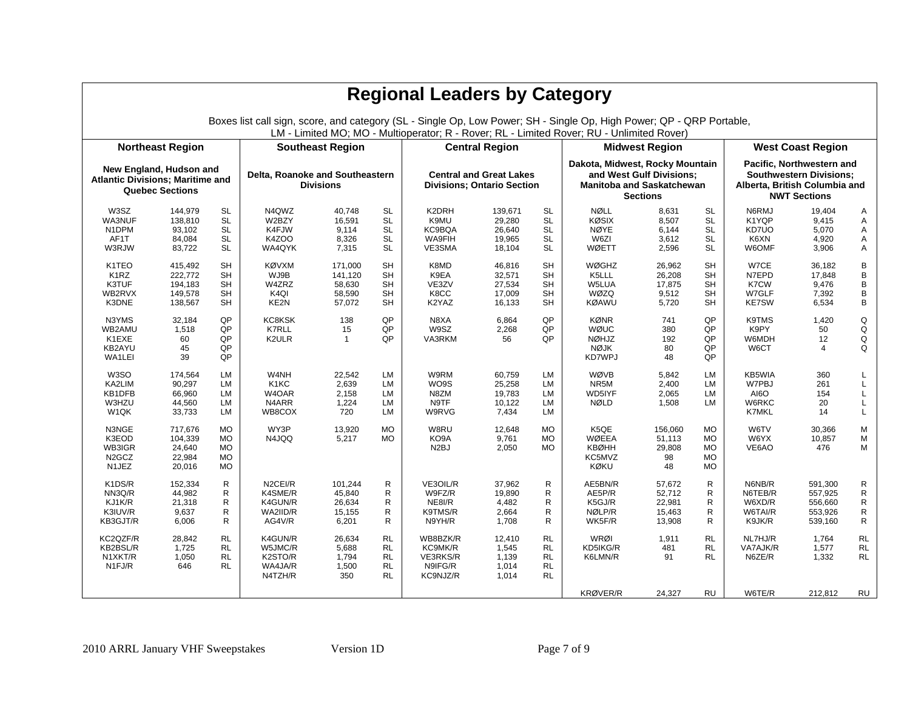| <b>Regional Leaders by Category</b>                                                                                                                                                                               |                                                                                              |                                                                                                                         |                                                                                                          |                                                                                       |                                                                                                                                |                                                                                              |                                                                                         |                                                                                                                                |                                                                                                       |                                                                                  |                                                                                                                                |                                                                                            |                                                                                  |                                                                           |
|-------------------------------------------------------------------------------------------------------------------------------------------------------------------------------------------------------------------|----------------------------------------------------------------------------------------------|-------------------------------------------------------------------------------------------------------------------------|----------------------------------------------------------------------------------------------------------|---------------------------------------------------------------------------------------|--------------------------------------------------------------------------------------------------------------------------------|----------------------------------------------------------------------------------------------|-----------------------------------------------------------------------------------------|--------------------------------------------------------------------------------------------------------------------------------|-------------------------------------------------------------------------------------------------------|----------------------------------------------------------------------------------|--------------------------------------------------------------------------------------------------------------------------------|--------------------------------------------------------------------------------------------|----------------------------------------------------------------------------------|---------------------------------------------------------------------------|
| Boxes list call sign, score, and category (SL - Single Op, Low Power; SH - Single Op, High Power; QP - QRP Portable,<br>LM - Limited MO; MO - Multioperator; R - Rover; RL - Limited Rover; RU - Unlimited Rover) |                                                                                              |                                                                                                                         |                                                                                                          |                                                                                       |                                                                                                                                |                                                                                              |                                                                                         |                                                                                                                                |                                                                                                       |                                                                                  |                                                                                                                                |                                                                                            |                                                                                  |                                                                           |
| <b>Northeast Region</b><br><b>Southeast Region</b><br><b>Central Region</b><br><b>Midwest Region</b><br><b>West Coast Region</b>                                                                                  |                                                                                              |                                                                                                                         |                                                                                                          |                                                                                       |                                                                                                                                |                                                                                              |                                                                                         |                                                                                                                                |                                                                                                       |                                                                                  |                                                                                                                                |                                                                                            |                                                                                  |                                                                           |
| <b>Atlantic Divisions; Maritime and</b>                                                                                                                                                                           | New England, Hudson and<br><b>Quebec Sections</b>                                            |                                                                                                                         | Delta, Roanoke and Southeastern<br><b>Divisions</b>                                                      |                                                                                       |                                                                                                                                | <b>Central and Great Lakes</b><br><b>Divisions: Ontario Section</b>                          |                                                                                         | Dakota, Midwest, Rocky Mountain<br>and West Gulf Divisions;<br><b>Manitoba and Saskatchewan</b><br><b>Sections</b>             |                                                                                                       |                                                                                  | Pacific, Northwestern and<br><b>Southwestern Divisions:</b><br>Alberta, British Columbia and<br><b>NWT Sections</b>            |                                                                                            |                                                                                  |                                                                           |
| W3SZ<br>WA3NUF<br>N1DPM<br>AF1T<br>W3RJW<br>K1TEO<br>K <sub>1</sub> RZ<br>K3TUF<br>WB2RVX                                                                                                                         | 144,979<br>138,810<br>93,102<br>84,084<br>83,722<br>415,492<br>222,772<br>194,183<br>149,578 | SL<br><b>SL</b><br><b>SL</b><br><b>SL</b><br><b>SL</b><br><b>SH</b><br><b>SH</b><br><b>SH</b><br><b>SH</b><br><b>SH</b> | N4QWZ<br>W2BZY<br>K4FJW<br>K4ZOO<br>WA4QYK<br><b>KØVXM</b><br>WJ9B<br>W4ZRZ<br>K <sub>4</sub> QI<br>KE2N | 40.748<br>16,591<br>9.114<br>8,326<br>7,315<br>171,000<br>141.120<br>58,630<br>58,590 | <b>SL</b><br><b>SL</b><br><b>SL</b><br><b>SL</b><br><b>SL</b><br><b>SH</b><br><b>SH</b><br><b>SH</b><br><b>SH</b><br><b>SH</b> | K2DRH<br>K9MU<br>KC9BQA<br><b>WA9FIH</b><br>VE3SMA<br>K8MD<br>K9EA<br>VE3ZV<br>K8CC<br>K2YAZ | 139,671<br>29,280<br>26,640<br>19,965<br>18,104<br>46,816<br>32,571<br>27,534<br>17,009 | <b>SL</b><br><b>SL</b><br><b>SL</b><br><b>SL</b><br><b>SL</b><br><b>SH</b><br><b>SH</b><br><b>SH</b><br><b>SH</b><br><b>SH</b> | <b>NØLL</b><br><b>KØSIX</b><br><b>NØYE</b><br>W6ZI<br>WØETT<br><b>WØGHZ</b><br>K5LLL<br>W5LUA<br>WØZQ | 8,631<br>8,507<br>6,144<br>3,612<br>2,596<br>26.962<br>26,208<br>17,875<br>9,512 | <b>SL</b><br><b>SL</b><br><b>SL</b><br><b>SL</b><br><b>SL</b><br><b>SH</b><br><b>SH</b><br><b>SH</b><br><b>SH</b><br><b>SH</b> | N6RMJ<br>K1YQP<br>KD7UO<br>K6XN<br>W6OMF<br>W7CE<br>N7EPD<br>K7CW<br>W7GLF<br><b>KE7SW</b> | 19,404<br>9,415<br>5,070<br>4,920<br>3,906<br>36,182<br>17,848<br>9,476<br>7,392 | Α<br>A<br>A<br>Α<br>Α<br>B<br>B<br>B<br>B<br>B                            |
| K3DNE<br>N3YMS<br>WB2AMU<br>K1EXE<br>KB2AYU<br>WA1LEI                                                                                                                                                             | 138,567<br>32,184<br>1,518<br>60<br>45<br>39                                                 | QP<br>QP<br>QP<br>QP<br>QP                                                                                              | KC8KSK<br><b>K7RLL</b><br>K2ULR                                                                          | 57,072<br>138<br>15<br>$\overline{1}$                                                 | QP<br>QP<br>QP                                                                                                                 | N8XA<br>W9SZ<br>VA3RKM                                                                       | 16,133<br>6,864<br>2,268<br>56                                                          | OP<br>QP<br>QP                                                                                                                 | <b>KØAWU</b><br><b>KØNR</b><br>WØUC<br><b>NØHJZ</b><br><b>NØJK</b><br>KD7WPJ                          | 5,720<br>741<br>380<br>192<br>80<br>48                                           | QP<br>QP<br>QP<br>QP<br>QP                                                                                                     | K9TMS<br>K9PY<br>W6MDH<br>W6CT                                                             | 6,534<br>1,420<br>50<br>12<br>$\overline{4}$                                     | Q<br>Q<br>Q<br>$\Omega$                                                   |
| W <sub>3</sub> SO<br>KA2LIM<br>KB1DFB<br>W3HZU<br>W <sub>1</sub> QK                                                                                                                                               | 174.564<br>90,297<br>66,960<br>44,560<br>33,733                                              | <b>LM</b><br><b>LM</b><br>LM<br>LМ<br><b>LM</b>                                                                         | W4NH<br>K <sub>1</sub> K <sub>C</sub><br>W4OAR<br>N4ARR<br>WB8COX                                        | 22.542<br>2,639<br>2,158<br>1,224<br>720                                              | <b>LM</b><br>LM<br>LM<br>LM<br>LM                                                                                              | W9RM<br>WO9S<br>N8ZM<br>N9TF<br>W9RVG                                                        | 60.759<br>25,258<br>19,783<br>10,122<br>7,434                                           | <b>LM</b><br><b>LM</b><br><b>LM</b><br>LM<br><b>LM</b>                                                                         | WØVB<br>NR5M<br>WD5IYF<br><b>NØLD</b>                                                                 | 5.842<br>2,400<br>2,065<br>1,508                                                 | LM<br>LM<br>LM<br>LM                                                                                                           | KB5WIA<br>W7PBJ<br>AI6O<br>W6RKC<br><b>K7MKL</b>                                           | 360<br>261<br>154<br>20<br>14                                                    | L<br>L<br>L<br>L                                                          |
| N3NGE<br>K3EOD<br>WB3IGR<br>N <sub>2</sub> GCZ<br>N1JEZ                                                                                                                                                           | 717,676<br>104,339<br>24.640<br>22,984<br>20,016                                             | <b>MO</b><br><b>MO</b><br><b>MO</b><br><b>MO</b><br><b>MO</b>                                                           | WY3P<br>N4JQQ                                                                                            | 13,920<br>5,217                                                                       | <b>MO</b><br><b>MO</b>                                                                                                         | W8RU<br>KO9A<br>N <sub>2</sub> BJ                                                            | 12.648<br>9,761<br>2,050                                                                | <b>MO</b><br><b>MO</b><br><b>MO</b>                                                                                            | K5QE<br><b>WØEEA</b><br><b>KBØHH</b><br>KC5MVZ<br><b>KØKU</b>                                         | 156,060<br>51,113<br>29.808<br>98<br>48                                          | <b>MO</b><br><b>MO</b><br><b>MO</b><br><b>MO</b><br><b>MO</b>                                                                  | W6TV<br>W6YX<br>VE6AO                                                                      | 30,366<br>10,857<br>476                                                          | M<br>M<br>M                                                               |
| K1DS/R<br>NN3Q/R<br>KJ1K/R<br>K3IUV/R<br>KB3GJT/R                                                                                                                                                                 | 152,334<br>44.982<br>21,318<br>9,637<br>6,006                                                | $\mathsf{R}$<br>R<br>$\mathsf{R}$<br>R<br>R                                                                             | N2CEI/R<br>K4SME/R<br>K4GUN/R<br>WA2IID/R<br>AG4V/R                                                      | 101,244<br>45.840<br>26,634<br>15,155<br>6.201                                        | R<br>R<br>R<br>R<br>R                                                                                                          | VE3OIL/R<br>W9FZ/R<br>NE8I/R<br>K9TMS/R<br>N9YH/R                                            | 37,962<br>19.890<br>4,482<br>2,664<br>1.708                                             | R<br>R<br>$\mathsf{R}$<br>$\mathsf R$<br>$\mathsf{R}$                                                                          | AE5BN/R<br>AE5P/R<br>K5GJ/R<br>NØLP/R<br>WK5F/R                                                       | 57,672<br>52.712<br>22,981<br>15,463<br>13,908                                   | R<br>R<br>R<br>R<br>R                                                                                                          | N6NB/R<br>N6TEB/R<br>W6XD/R<br>W6TAI/R<br>K9JK/R                                           | 591,300<br>557,925<br>556,660<br>553,926<br>539,160                              | $\mathsf{R}$<br>$\mathsf{R}$<br>${\sf R}$<br>$\mathsf{R}$<br>$\mathsf{R}$ |
| KC2QZF/R<br>KB2BSL/R<br>N1XKT/R<br>N <sub>1FJ/R</sub>                                                                                                                                                             | 28,842<br>1,725<br>1,050<br>646                                                              | <b>RL</b><br><b>RL</b><br><b>RL</b><br><b>RL</b>                                                                        | K4GUN/R<br>W5JMC/R<br>K2STO/R<br>WA4JA/R<br>N4TZH/R                                                      | 26.634<br>5,688<br>1,794<br>1,500<br>350                                              | <b>RL</b><br><b>RL</b><br><b>RL</b><br><b>RL</b><br><b>RL</b>                                                                  | WB8BZK/R<br>KC9MK/R<br>VE3RKS/R<br>N9IFG/R<br>KC9NJZ/R                                       | 12,410<br>1,545<br>1,139<br>1,014<br>1,014                                              | <b>RL</b><br><b>RL</b><br><b>RL</b><br><b>RL</b><br><b>RL</b>                                                                  | WRØI<br>KD5IKG/R<br>K6LMN/R                                                                           | 1,911<br>481<br>91                                                               | <b>RL</b><br><b>RL</b><br><b>RL</b>                                                                                            | NL7HJ/R<br>VA7AJK/R<br>N6ZE/R                                                              | 1,764<br>1,577<br>1,332                                                          | <b>RL</b><br><b>RL</b><br>RL                                              |
|                                                                                                                                                                                                                   |                                                                                              |                                                                                                                         |                                                                                                          |                                                                                       |                                                                                                                                |                                                                                              |                                                                                         |                                                                                                                                | KRØVER/R                                                                                              | 24,327                                                                           | <b>RU</b>                                                                                                                      | W6TE/R                                                                                     | 212,812                                                                          | RU                                                                        |

2010 ARRL January VHF Sweepstakes Version 1D Page 7 of 9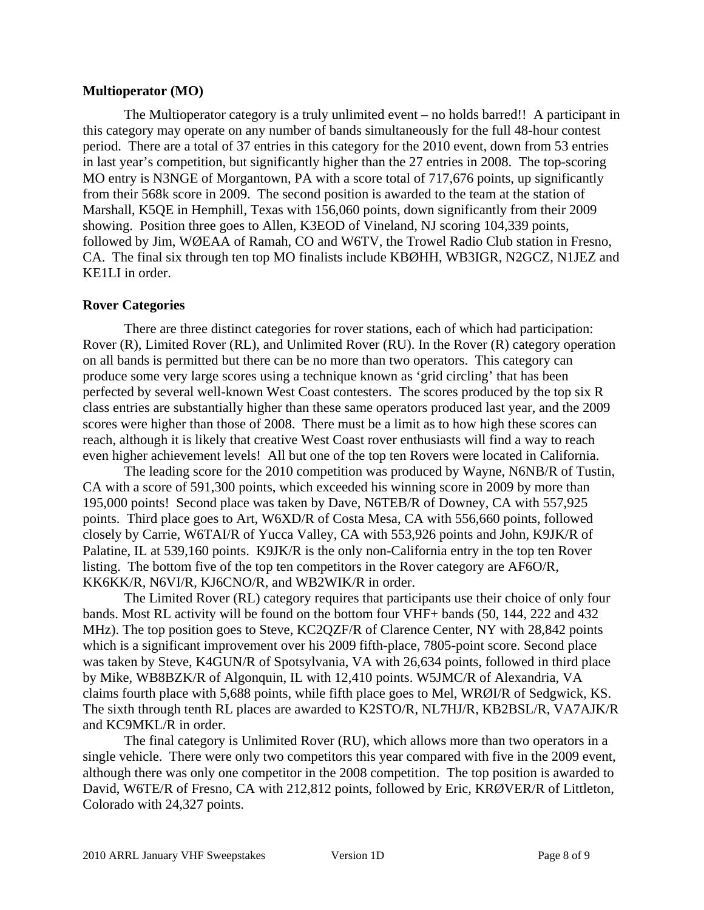#### **Multioperator (MO)**

The Multioperator category is a truly unlimited event – no holds barred!! A participant in this category may operate on any number of bands simultaneously for the full 48-hour contest period. There are a total of 37 entries in this category for the 2010 event, down from 53 entries in last year's competition, but significantly higher than the 27 entries in 2008. The top-scoring MO entry is N3NGE of Morgantown, PA with a score total of 717,676 points, up significantly from their 568k score in 2009. The second position is awarded to the team at the station of Marshall, K5QE in Hemphill, Texas with 156,060 points, down significantly from their 2009 showing. Position three goes to Allen, K3EOD of Vineland, NJ scoring 104,339 points, followed by Jim, WØEAA of Ramah, CO and W6TV, the Trowel Radio Club station in Fresno, CA. The final six through ten top MO finalists include KBØHH, WB3IGR, N2GCZ, N1JEZ and KE1LI in order.

#### **Rover Categories**

There are three distinct categories for rover stations, each of which had participation: Rover (R), Limited Rover (RL), and Unlimited Rover (RU). In the Rover (R) category operation on all bands is permitted but there can be no more than two operators. This category can produce some very large scores using a technique known as 'grid circling' that has been perfected by several well-known West Coast contesters. The scores produced by the top six R class entries are substantially higher than these same operators produced last year, and the 2009 scores were higher than those of 2008. There must be a limit as to how high these scores can reach, although it is likely that creative West Coast rover enthusiasts will find a way to reach even higher achievement levels! All but one of the top ten Rovers were located in California.

The leading score for the 2010 competition was produced by Wayne, N6NB/R of Tustin, CA with a score of 591,300 points, which exceeded his winning score in 2009 by more than 195,000 points! Second place was taken by Dave, N6TEB/R of Downey, CA with 557,925 points. Third place goes to Art, W6XD/R of Costa Mesa, CA with 556,660 points, followed closely by Carrie, W6TAI/R of Yucca Valley, CA with 553,926 points and John, K9JK/R of Palatine, IL at 539,160 points. K9JK/R is the only non-California entry in the top ten Rover listing. The bottom five of the top ten competitors in the Rover category are AF6O/R, KK6KK/R, N6VI/R, KJ6CNO/R, and WB2WIK/R in order.

The Limited Rover (RL) category requires that participants use their choice of only four bands. Most RL activity will be found on the bottom four VHF+ bands (50, 144, 222 and 432 MHz). The top position goes to Steve, KC2QZF/R of Clarence Center, NY with 28,842 points which is a significant improvement over his 2009 fifth-place, 7805-point score. Second place was taken by Steve, K4GUN/R of Spotsylvania, VA with 26,634 points, followed in third place by Mike, WB8BZK/R of Algonquin, IL with 12,410 points. W5JMC/R of Alexandria, VA claims fourth place with 5,688 points, while fifth place goes to Mel, WRØI/R of Sedgwick, KS. The sixth through tenth RL places are awarded to K2STO/R, NL7HJ/R, KB2BSL/R, VA7AJK/R and KC9MKL/R in order.

The final category is Unlimited Rover (RU), which allows more than two operators in a single vehicle. There were only two competitors this year compared with five in the 2009 event, although there was only one competitor in the 2008 competition. The top position is awarded to David, W6TE/R of Fresno, CA with 212,812 points, followed by Eric, KRØVER/R of Littleton, Colorado with 24,327 points.